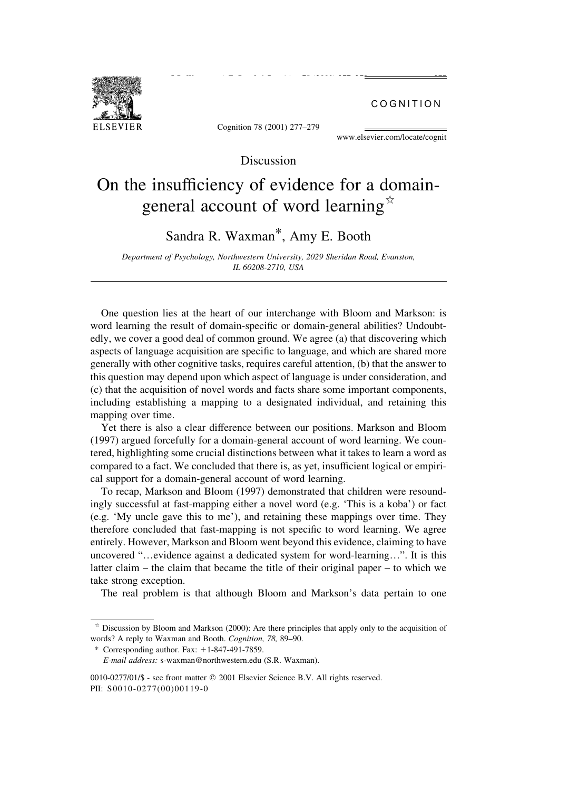COGNITION

Cognition 78 (2001) 277-279

S.R. Waxman, A.E. Booth / Cognition 78 (2001) 277±279 277±279 277±279 277±279 277±279 277±279 277±279 277±279 277

www.elsevier.com/locate/cognit

### Discussion

# On the insufficiency of evidence for a domaingeneral account of word learning  $\overline{a}$

## Sandra R. Waxman\*, Amy E. Booth

Department of Psychology, Northwestern University, 2029 Sheridan Road, Evanston, IL 60208-2710, USA

One question lies at the heart of our interchange with Bloom and Markson: is word learning the result of domain-specific or domain-general abilities? Undoubtedly, we cover a good deal of common ground. We agree (a) that discovering which aspects of language acquisition are specific to language, and which are shared more generally with other cognitive tasks, requires careful attention, (b) that the answer to this question may depend upon which aspect of language is under consideration, and (c) that the acquisition of novel words and facts share some important components, including establishing a mapping to a designated individual, and retaining this mapping over time.

Yet there is also a clear difference between our positions. Markson and Bloom (1997) argued forcefully for a domain-general account of word learning. We countered, highlighting some crucial distinctions between what it takes to learn a word as compared to a fact. We concluded that there is, as yet, insufficient logical or empirical support for a domain-general account of word learning.

To recap, Markson and Bloom (1997) demonstrated that children were resoundingly successful at fast-mapping either a novel word (e.g. `This is a koba') or fact (e.g. `My uncle gave this to me'), and retaining these mappings over time. They therefore concluded that fast-mapping is not specific to word learning. We agree entirely. However, Markson and Bloom went beyond this evidence, claiming to have uncovered "...evidence against a dedicated system for word-learning...". It is this latter claim  $-$  the claim that became the title of their original paper  $-$  to which we take strong exception.

The real problem is that although Bloom and Markson's data pertain to one

 $\alpha$  Discussion by Bloom and Markson (2000): Are there principles that apply only to the acquisition of words? A reply to Waxman and Booth. Cognition, 78, 89-90.

<sup>\*</sup> Corresponding author. Fax:  $+1-847-491-7859$ .

E-mail address: s-waxman@northwestern.edu (S.R. Waxman).

<sup>0010-0277/01/\$ -</sup> see front matter © 2001 Elsevier Science B.V. All rights reserved. PII: S0010-0277(00)00119-0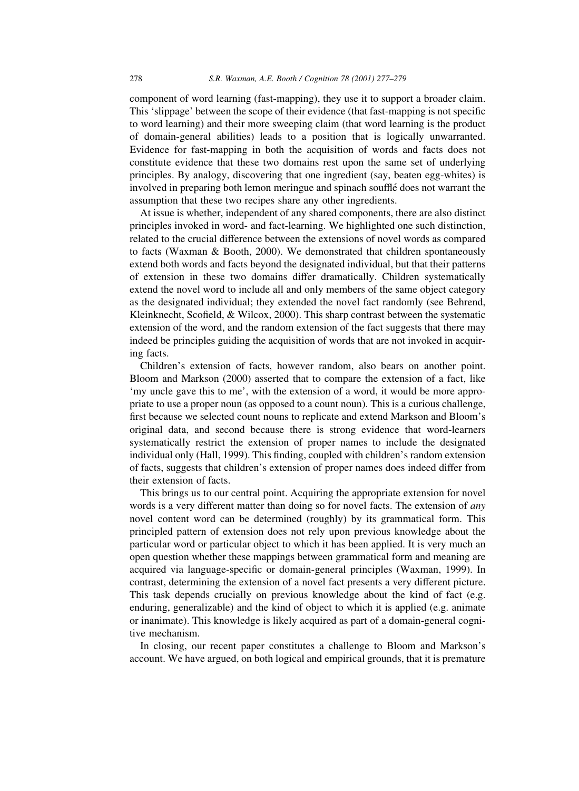component of word learning (fast-mapping), they use it to support a broader claim. This 'slippage' between the scope of their evidence (that fast-mapping is not specific to word learning) and their more sweeping claim (that word learning is the product of domain-general abilities) leads to a position that is logically unwarranted. Evidence for fast-mapping in both the acquisition of words and facts does not constitute evidence that these two domains rest upon the same set of underlying principles. By analogy, discovering that one ingredient (say, beaten egg-whites) is involved in preparing both lemon meringue and spinach soufflé does not warrant the assumption that these two recipes share any other ingredients.

At issue is whether, independent of any shared components, there are also distinct principles invoked in word- and fact-learning. We highlighted one such distinction, related to the crucial difference between the extensions of novel words as compared to facts (Waxman & Booth, 2000). We demonstrated that children spontaneously extend both words and facts beyond the designated individual, but that their patterns of extension in these two domains differ dramatically. Children systematically extend the novel word to include all and only members of the same object category as the designated individual; they extended the novel fact randomly (see Behrend, Kleinknecht, Scofield, & Wilcox, 2000). This sharp contrast between the systematic extension of the word, and the random extension of the fact suggests that there may indeed be principles guiding the acquisition of words that are not invoked in acquiring facts.

Children's extension of facts, however random, also bears on another point. Bloom and Markson (2000) asserted that to compare the extension of a fact, like `my uncle gave this to me', with the extension of a word, it would be more appropriate to use a proper noun (as opposed to a count noun). This is a curious challenge, first because we selected count nouns to replicate and extend Markson and Bloom's original data, and second because there is strong evidence that word-learners systematically restrict the extension of proper names to include the designated individual only (Hall, 1999). This finding, coupled with children's random extension of facts, suggests that children's extension of proper names does indeed differ from their extension of facts.

This brings us to our central point. Acquiring the appropriate extension for novel words is a very different matter than doing so for novel facts. The extension of any novel content word can be determined (roughly) by its grammatical form. This principled pattern of extension does not rely upon previous knowledge about the particular word or particular object to which it has been applied. It is very much an open question whether these mappings between grammatical form and meaning are acquired via language-specific or domain-general principles (Waxman, 1999). In contrast, determining the extension of a novel fact presents a very different picture. This task depends crucially on previous knowledge about the kind of fact (e.g. enduring, generalizable) and the kind of object to which it is applied (e.g. animate or inanimate). This knowledge is likely acquired as part of a domain-general cognitive mechanism.

In closing, our recent paper constitutes a challenge to Bloom and Markson's account. We have argued, on both logical and empirical grounds, that it is premature